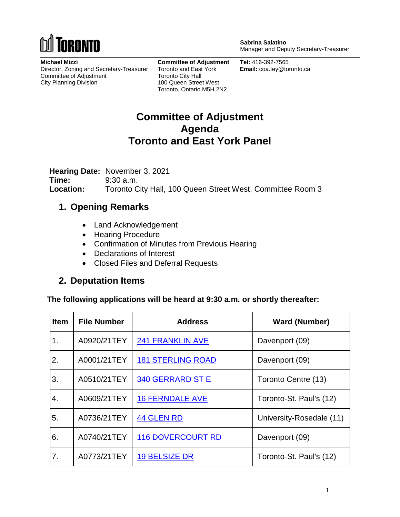

**Sabrina Salatino** Manager and Deputy Secretary-Treasurer

**Michael Mizzi** Director, Zoning and Secretary-Treasurer Committee of Adjustment City Planning Division

**Committee of Adjustment** Toronto and East York Toronto City Hall 100 Queen Street West Toronto, Ontario M5H 2N2

**Tel:** 416-392-7565 **Email:** coa.tey@toronto.ca

## **Committee of Adjustment Agenda Toronto and East York Panel**

**Hearing Date:** November 3, 2021 **Time:** 9:30 a.m. **Location:** Toronto City Hall, 100 Queen Street West, Committee Room 3

### **1. Opening Remarks**

- Land Acknowledgement
- Hearing Procedure
- Confirmation of Minutes from Previous Hearing
- Declarations of Interest
- Closed Files and Deferral Requests

### **2. Deputation Items**

**The following applications will be heard at 9:30 a.m. or shortly thereafter:**

| <b>Item</b> | <b>File Number</b> | <b>Address</b>           | <b>Ward (Number)</b>     |
|-------------|--------------------|--------------------------|--------------------------|
| 1.          | A0920/21TEY        | <b>241 FRANKLIN AVE</b>  | Davenport (09)           |
| 2.          | A0001/21TEY        | <b>181 STERLING ROAD</b> | Davenport (09)           |
| 3.          | A0510/21TEY        | 340 GERRARD ST E         | Toronto Centre (13)      |
| 4.          | A0609/21TEY        | <b>16 FERNDALE AVE</b>   | Toronto-St. Paul's (12)  |
| 5.          | A0736/21TEY        | <b>44 GLEN RD</b>        | University-Rosedale (11) |
| 6.          | A0740/21TEY        | <b>116 DOVERCOURT RD</b> | Davenport (09)           |
| 7.          | A0773/21TEY        | <b>19 BELSIZE DR</b>     | Toronto-St. Paul's (12)  |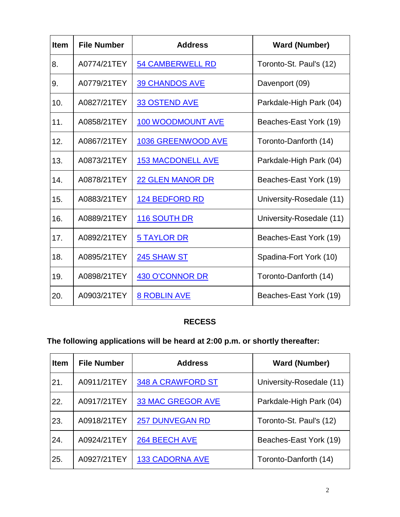| <b>Item</b> | <b>File Number</b> | <b>Address</b>            | <b>Ward (Number)</b>     |
|-------------|--------------------|---------------------------|--------------------------|
| 8.          | A0774/21TEY        | <b>54 CAMBERWELL RD</b>   | Toronto-St. Paul's (12)  |
| 9.          | A0779/21TEY        | <b>39 CHANDOS AVE</b>     | Davenport (09)           |
| 10.         | A0827/21TEY        | <b>33 OSTEND AVE</b>      | Parkdale-High Park (04)  |
| 11.         | A0858/21TEY        | <b>100 WOODMOUNT AVE</b>  | Beaches-East York (19)   |
| 12.         | A0867/21TEY        | <b>1036 GREENWOOD AVE</b> | Toronto-Danforth (14)    |
| 13.         | A0873/21TEY        | <b>153 MACDONELL AVE</b>  | Parkdale-High Park (04)  |
| 14.         | A0878/21TEY        | <b>22 GLEN MANOR DR</b>   | Beaches-East York (19)   |
| 15.         | A0883/21TEY        | <b>124 BEDFORD RD</b>     | University-Rosedale (11) |
| 16.         | A0889/21TEY        | 116 SOUTH DR              | University-Rosedale (11) |
| 17.         | A0892/21TEY        | 5 TAYLOR DR               | Beaches-East York (19)   |
| 18.         | A0895/21TEY        | <b>245 SHAW ST</b>        | Spadina-Fort York (10)   |
| 19.         | A0898/21TEY        | <b>430 O'CONNOR DR</b>    | Toronto-Danforth (14)    |
| 20.         | A0903/21TEY        | <b>8 ROBLIN AVE</b>       | Beaches-East York (19)   |

### **RECESS**

# **The following applications will be heard at 2:00 p.m. or shortly thereafter:**

| <b>Item</b> | <b>File Number</b> | <b>Address</b>           | <b>Ward (Number)</b>     |
|-------------|--------------------|--------------------------|--------------------------|
| 21.         | A0911/21TEY        | 348 A CRAWFORD ST        | University-Rosedale (11) |
| 22.         | A0917/21TEY        | <b>33 MAC GREGOR AVE</b> | Parkdale-High Park (04)  |
| 23.         | A0918/21TEY        | <b>257 DUNVEGAN RD</b>   | Toronto-St. Paul's (12)  |
| 24.         | A0924/21TEY        | 264 BEECH AVE            | Beaches-East York (19)   |
| 25.         | A0927/21TEY        | <b>133 CADORNA AVE</b>   | Toronto-Danforth (14)    |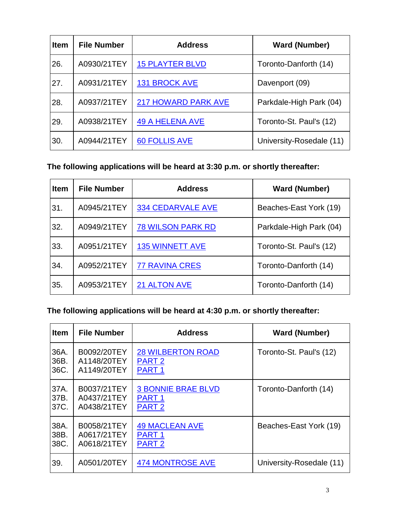| <b>Item</b> | <b>File Number</b> | <b>Address</b>             | <b>Ward (Number)</b>     |
|-------------|--------------------|----------------------------|--------------------------|
| 26.         | A0930/21TEY        | <b>15 PLAYTER BLVD</b>     | Toronto-Danforth (14)    |
| 27.         | A0931/21TEY        | <b>131 BROCK AVE</b>       | Davenport (09)           |
| 28.         | A0937/21TEY        | <b>217 HOWARD PARK AVE</b> | Parkdale-High Park (04)  |
| 29.         | A0938/21TEY        | <b>49 A HELENA AVE</b>     | Toronto-St. Paul's (12)  |
| 30.         | A0944/21TEY        | <b>60 FOLLIS AVE</b>       | University-Rosedale (11) |

### **The following applications will be heard at 3:30 p.m. or shortly thereafter:**

| <b>Item</b> | <b>File Number</b> | <b>Address</b>           | <b>Ward (Number)</b>    |
|-------------|--------------------|--------------------------|-------------------------|
| 31.         | A0945/21TEY        | <b>334 CEDARVALE AVE</b> | Beaches-East York (19)  |
| 32.         | A0949/21TEY        | <b>78 WILSON PARK RD</b> | Parkdale-High Park (04) |
| 33.         | A0951/21TEY        | <b>135 WINNETT AVE</b>   | Toronto-St. Paul's (12) |
| 34.         | A0952/21TEY        | <b>77 RAVINA CRES</b>    | Toronto-Danforth (14)   |
| 35.         | A0953/21TEY        | <b>21 ALTON AVE</b>      | Toronto-Danforth (14)   |

## **The following applications will be heard at 4:30 p.m. or shortly thereafter:**

| <b>Item</b> | <b>File Number</b> | <b>Address</b>            | <b>Ward (Number)</b>     |
|-------------|--------------------|---------------------------|--------------------------|
| 36A.        | B0092/20TEY        | <b>28 WILBERTON ROAD</b>  | Toronto-St. Paul's (12)  |
| 36B.        | A1148/20TEY        | PART <sub>2</sub>         |                          |
| 36C.        | A1149/20TEY        | PART <sub>1</sub>         |                          |
| 37A.        | B0037/21TEY        | <b>3 BONNIE BRAE BLVD</b> | Toronto-Danforth (14)    |
| 37B.        | A0437/21TEY        | PART <sub>1</sub>         |                          |
| 37C.        | A0438/21TEY        | PART <sub>2</sub>         |                          |
| 38A.        | B0058/21TEY        | <b>49 MACLEAN AVE</b>     | Beaches-East York (19)   |
| 38B.        | A0617/21TEY        | PART <sub>1</sub>         |                          |
| 38C.        | A0618/21TEY        | PART <sub>2</sub>         |                          |
| 39.         | A0501/20TEY        | <b>474 MONTROSE AVE</b>   | University-Rosedale (11) |